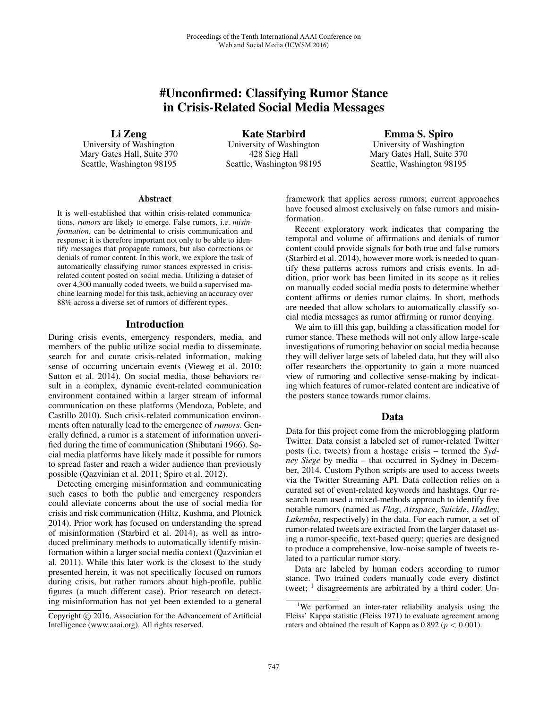# #Unconfirmed: Classifying Rumor Stance in Crisis-Related Social Media Messages

Li Zeng

University of Washington Mary Gates Hall, Suite 370 Seattle, Washington 98195

Kate Starbird University of Washington 428 Sieg Hall Seattle, Washington 98195

Emma S. Spiro University of Washington Mary Gates Hall, Suite 370 Seattle, Washington 98195

#### Abstract

It is well-established that within crisis-related communications, *rumors* are likely to emerge. False rumors, i.e. *misinformation*, can be detrimental to crisis communication and response; it is therefore important not only to be able to identify messages that propagate rumors, but also corrections or denials of rumor content. In this work, we explore the task of automatically classifying rumor stances expressed in crisisrelated content posted on social media. Utilizing a dataset of over 4,300 manually coded tweets, we build a supervised machine learning model for this task, achieving an accuracy over 88% across a diverse set of rumors of different types.

### Introduction

During crisis events, emergency responders, media, and members of the public utilize social media to disseminate, search for and curate crisis-related information, making sense of occurring uncertain events (Vieweg et al. 2010; Sutton et al. 2014). On social media, those behaviors result in a complex, dynamic event-related communication environment contained within a larger stream of informal communication on these platforms (Mendoza, Poblete, and Castillo 2010). Such crisis-related communication environments often naturally lead to the emergence of *rumors*. Generally defined, a rumor is a statement of information unverified during the time of communication (Shibutani 1966). Social media platforms have likely made it possible for rumors to spread faster and reach a wider audience than previously possible (Qazvinian et al. 2011; Spiro et al. 2012).

Detecting emerging misinformation and communicating such cases to both the public and emergency responders could alleviate concerns about the use of social media for crisis and risk communication (Hiltz, Kushma, and Plotnick 2014). Prior work has focused on understanding the spread of misinformation (Starbird et al. 2014), as well as introduced preliminary methods to automatically identify misinformation within a larger social media context (Qazvinian et al. 2011). While this later work is the closest to the study presented herein, it was not specifically focused on rumors during crisis, but rather rumors about high-profile, public figures (a much different case). Prior research on detecting misinformation has not yet been extended to a general

framework that applies across rumors; current approaches have focused almost exclusively on false rumors and misinformation.

Recent exploratory work indicates that comparing the temporal and volume of affirmations and denials of rumor content could provide signals for both true and false rumors (Starbird et al. 2014), however more work is needed to quantify these patterns across rumors and crisis events. In addition, prior work has been limited in its scope as it relies on manually coded social media posts to determine whether content affirms or denies rumor claims. In short, methods are needed that allow scholars to automatically classify social media messages as rumor affirming or rumor denying.

We aim to fill this gap, building a classification model for rumor stance. These methods will not only allow large-scale investigations of rumoring behavior on social media because they will deliver large sets of labeled data, but they will also offer researchers the opportunity to gain a more nuanced view of rumoring and collective sense-making by indicating which features of rumor-related content are indicative of the posters stance towards rumor claims.

### Data

Data for this project come from the microblogging platform Twitter. Data consist a labeled set of rumor-related Twitter posts (i.e. tweets) from a hostage crisis – termed the *Sydney Siege* by media – that occurred in Sydney in December, 2014. Custom Python scripts are used to access tweets via the Twitter Streaming API. Data collection relies on a curated set of event-related keywords and hashtags. Our research team used a mixed-methods approach to identify five notable rumors (named as *Flag*, *Airspace*, *Suicide*, *Hadley*, *Lakemba*, respectively) in the data. For each rumor, a set of rumor-related tweets are extracted from the larger dataset using a rumor-specific, text-based query; queries are designed to produce a comprehensive, low-noise sample of tweets related to a particular rumor story.

Data are labeled by human coders according to rumor stance. Two trained coders manually code every distinct tweet;  $\frac{1}{1}$  disagreements are arbitrated by a third coder. Un-

Copyright  $\odot$  2016, Association for the Advancement of Artificial Intelligence (www.aaai.org). All rights reserved.

<sup>&</sup>lt;sup>1</sup>We performed an inter-rater reliability analysis using the Fleiss' Kappa statistic (Fleiss 1971) to evaluate agreement among raters and obtained the result of Kappa as  $0.892 (p < 0.001)$ .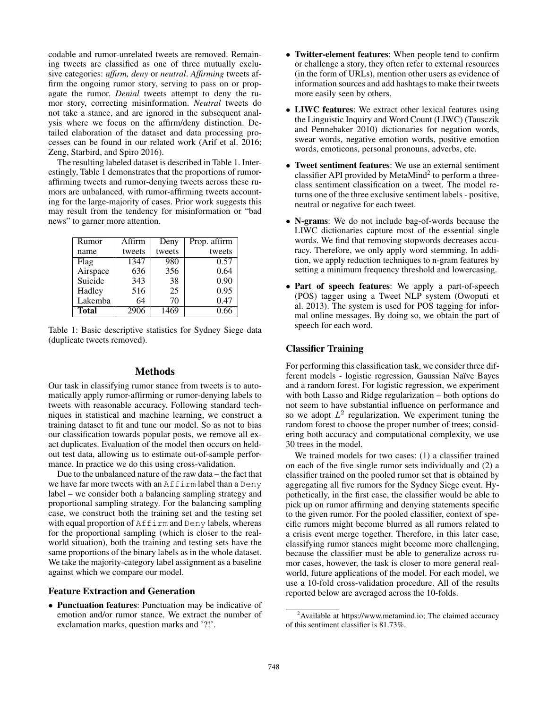codable and rumor-unrelated tweets are removed. Remaining tweets are classified as one of three mutually exclusive categories: *affirm, deny* or *neutral*. *Affirming* tweets affirm the ongoing rumor story, serving to pass on or propagate the rumor. *Denial* tweets attempt to deny the rumor story, correcting misinformation. *Neutral* tweets do not take a stance, and are ignored in the subsequent analysis where we focus on the affirm/deny distinction. Detailed elaboration of the dataset and data processing processes can be found in our related work (Arif et al. 2016; Zeng, Starbird, and Spiro 2016).

The resulting labeled dataset is described in Table 1. Interestingly, Table 1 demonstrates that the proportions of rumoraffirming tweets and rumor-denying tweets across these rumors are unbalanced, with rumor-affirming tweets accounting for the large-majority of cases. Prior work suggests this may result from the tendency for misinformation or "bad news" to garner more attention.

| Rumor        | Affirm | Deny   | Prop. affirm |
|--------------|--------|--------|--------------|
| name         | tweets | tweets | tweets       |
| Flag         | 1347   | 980    | 0.57         |
| Airspace     | 636    | 356    | 0.64         |
| Suicide      | 343    | 38     | 0.90         |
| Hadley       | 516    | 25     | 0.95         |
| Lakemba      | 64     | 70     | 0.47         |
| <b>Total</b> | 2906   | 1469   | 0.66         |

Table 1: Basic descriptive statistics for Sydney Siege data (duplicate tweets removed).

#### Methods

Our task in classifying rumor stance from tweets is to automatically apply rumor-affirming or rumor-denying labels to tweets with reasonable accuracy. Following standard techniques in statistical and machine learning, we construct a training dataset to fit and tune our model. So as not to bias our classification towards popular posts, we remove all exact duplicates. Evaluation of the model then occurs on heldout test data, allowing us to estimate out-of-sample performance. In practice we do this using cross-validation.

Due to the unbalanced nature of the raw data – the fact that we have far more tweets with an Affirm label than a Deny label – we consider both a balancing sampling strategy and proportional sampling strategy. For the balancing sampling case, we construct both the training set and the testing set with equal proportion of Affirm and Deny labels, whereas for the proportional sampling (which is closer to the realworld situation), both the training and testing sets have the same proportions of the binary labels as in the whole dataset. We take the majority-category label assignment as a baseline against which we compare our model.

### Feature Extraction and Generation

• Punctuation features: Punctuation may be indicative of emotion and/or rumor stance. We extract the number of exclamation marks, question marks and '?!'.

- Twitter-element features: When people tend to confirm or challenge a story, they often refer to external resources (in the form of URLs), mention other users as evidence of information sources and add hashtags to make their tweets more easily seen by others.
- LIWC features: We extract other lexical features using the Linguistic Inquiry and Word Count (LIWC) (Tausczik and Pennebaker 2010) dictionaries for negation words, swear words, negative emotion words, positive emotion words, emoticons, personal pronouns, adverbs, etc.
- Tweet sentiment features: We use an external sentiment classifier API provided by MetaMind<sup>2</sup> to perform a threeclass sentiment classification on a tweet. The model returns one of the three exclusive sentiment labels - positive, neutral or negative for each tweet.
- N-grams: We do not include bag-of-words because the LIWC dictionaries capture most of the essential single words. We find that removing stopwords decreases accuracy. Therefore, we only apply word stemming. In addition, we apply reduction techniques to n-gram features by setting a minimum frequency threshold and lowercasing.
- Part of speech features: We apply a part-of-speech (POS) tagger using a Tweet NLP system (Owoputi et al. 2013). The system is used for POS tagging for informal online messages. By doing so, we obtain the part of speech for each word.

## Classifier Training

For performing this classification task, we consider three different models - logistic regression, Gaussian Naïve Bayes and a random forest. For logistic regression, we experiment with both Lasso and Ridge regularization – both options do not seem to have substantial influence on performance and so we adopt  $L^2$  regularization. We experiment tuning the random forest to choose the proper number of trees; considering both accuracy and computational complexity, we use 30 trees in the model.

We trained models for two cases: (1) a classifier trained on each of the five single rumor sets individually and (2) a classifier trained on the pooled rumor set that is obtained by aggregating all five rumors for the Sydney Siege event. Hypothetically, in the first case, the classifier would be able to pick up on rumor affirming and denying statements specific to the given rumor. For the pooled classifier, context of specific rumors might become blurred as all rumors related to a crisis event merge together. Therefore, in this later case, classifying rumor stances might become more challenging, because the classifier must be able to generalize across rumor cases, however, the task is closer to more general realworld, future applications of the model. For each model, we use a 10-fold cross-validation procedure. All of the results reported below are averaged across the 10-folds.

<sup>&</sup>lt;sup>2</sup> Available at https://www.metamind.io; The claimed accuracy of this sentiment classifier is 81.73%.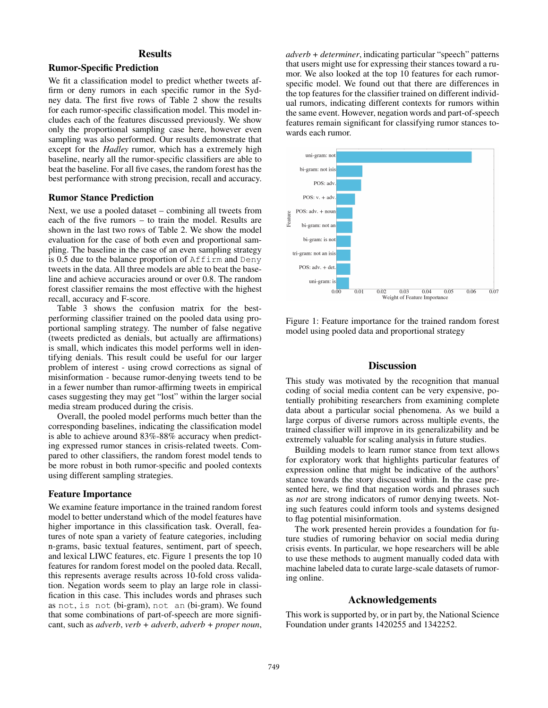# **Results**

## Rumor-Specific Prediction

We fit a classification model to predict whether tweets affirm or deny rumors in each specific rumor in the Sydney data. The first five rows of Table 2 show the results for each rumor-specific classification model. This model includes each of the features discussed previously. We show only the proportional sampling case here, however even sampling was also performed. Our results demonstrate that except for the *Hadley* rumor, which has a extremely high baseline, nearly all the rumor-specific classifiers are able to beat the baseline. For all five cases, the random forest has the best performance with strong precision, recall and accuracy.

### Rumor Stance Prediction

Next, we use a pooled dataset – combining all tweets from each of the five rumors – to train the model. Results are shown in the last two rows of Table 2. We show the model evaluation for the case of both even and proportional sampling. The baseline in the case of an even sampling strategy is 0.5 due to the balance proportion of  $Affim$  and Deny tweets in the data. All three models are able to beat the baseline and achieve accuracies around or over 0.8. The random forest classifier remains the most effective with the highest recall, accuracy and F-score.

Table 3 shows the confusion matrix for the bestperforming classifier trained on the pooled data using proportional sampling strategy. The number of false negative (tweets predicted as denials, but actually are affirmations) is small, which indicates this model performs well in identifying denials. This result could be useful for our larger problem of interest - using crowd corrections as signal of misinformation - because rumor-denying tweets tend to be in a fewer number than rumor-affirming tweets in empirical cases suggesting they may get "lost" within the larger social media stream produced during the crisis.

Overall, the pooled model performs much better than the corresponding baselines, indicating the classification model is able to achieve around 83%-88% accuracy when predicting expressed rumor stances in crisis-related tweets. Compared to other classifiers, the random forest model tends to be more robust in both rumor-specific and pooled contexts using different sampling strategies.

### Feature Importance

We examine feature importance in the trained random forest model to better understand which of the model features have higher importance in this classification task. Overall, features of note span a variety of feature categories, including n-grams, basic textual features, sentiment, part of speech, and lexical LIWC features, etc. Figure 1 presents the top 10 features for random forest model on the pooled data. Recall, this represents average results across 10-fold cross validation. Negation words seem to play an large role in classification in this case. This includes words and phrases such as not, is not (bi-gram), not an (bi-gram). We found that some combinations of part-of-speech are more significant, such as *adverb*, *verb + adverb*, *adverb + proper noun*, *adverb + determiner*, indicating particular "speech" patterns that users might use for expressing their stances toward a rumor. We also looked at the top 10 features for each rumorspecific model. We found out that there are differences in the top features for the classifier trained on different individual rumors, indicating different contexts for rumors within the same event. However, negation words and part-of-speech features remain significant for classifying rumor stances towards each rumor.



Figure 1: Feature importance for the trained random forest model using pooled data and proportional strategy

# **Discussion**

This study was motivated by the recognition that manual coding of social media content can be very expensive, potentially prohibiting researchers from examining complete data about a particular social phenomena. As we build a large corpus of diverse rumors across multiple events, the trained classifier will improve in its generalizability and be extremely valuable for scaling analysis in future studies.

Building models to learn rumor stance from text allows for exploratory work that highlights particular features of expression online that might be indicative of the authors' stance towards the story discussed within. In the case presented here, we find that negation words and phrases such as *not* are strong indicators of rumor denying tweets. Noting such features could inform tools and systems designed to flag potential misinformation.

The work presented herein provides a foundation for future studies of rumoring behavior on social media during crisis events. In particular, we hope researchers will be able to use these methods to augment manually coded data with machine labeled data to curate large-scale datasets of rumoring online.

# Acknowledgements

This work is supported by, or in part by, the National Science Foundation under grants 1420255 and 1342252.